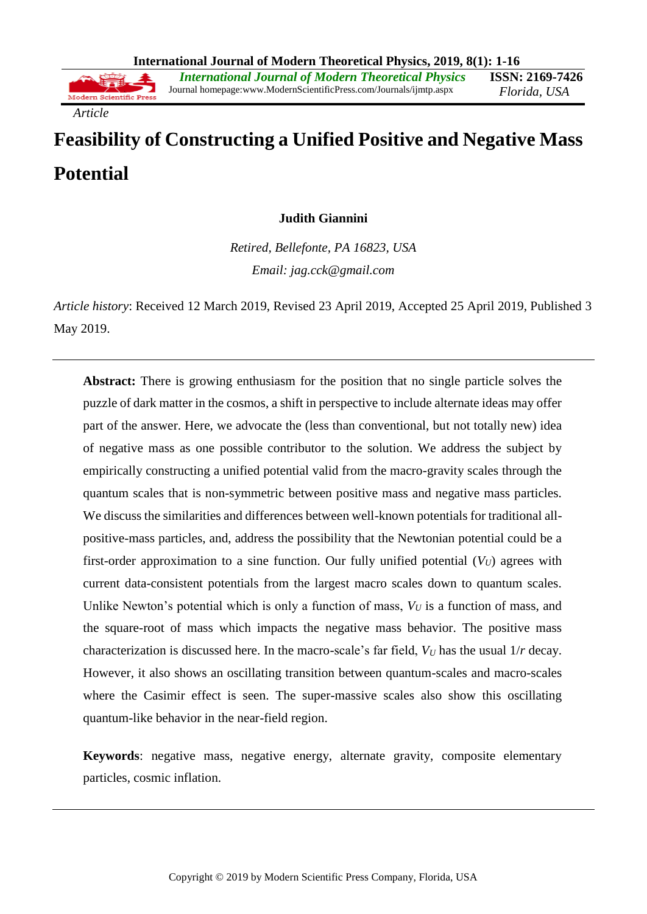*Article*

# **Feasibility of Constructing a Unified Positive and Negative Mass Potential**

## **Judith Giannini**

*Retired, Bellefonte, PA 16823, USA Email: jag.cck@gmail.com*

*Article history*: Received 12 March 2019, Revised 23 April 2019, Accepted 25 April 2019, Published 3 May 2019.

**Abstract:** There is growing enthusiasm for the position that no single particle solves the puzzle of dark matter in the cosmos, a shift in perspective to include alternate ideas may offer part of the answer. Here, we advocate the (less than conventional, but not totally new) idea of negative mass as one possible contributor to the solution. We address the subject by empirically constructing a unified potential valid from the macro-gravity scales through the quantum scales that is non-symmetric between positive mass and negative mass particles. We discuss the similarities and differences between well-known potentials for traditional allpositive-mass particles, and, address the possibility that the Newtonian potential could be a first-order approximation to a sine function. Our fully unified potential  $(V_U)$  agrees with current data-consistent potentials from the largest macro scales down to quantum scales. Unlike Newton's potential which is only a function of mass,  $V_U$  is a function of mass, and the square-root of mass which impacts the negative mass behavior. The positive mass characterization is discussed here. In the macro-scale's far field, *V<sup>U</sup>* has the usual 1/*r* decay. However, it also shows an oscillating transition between quantum-scales and macro-scales where the Casimir effect is seen. The super-massive scales also show this oscillating quantum-like behavior in the near-field region.

**Keywords**: negative mass, negative energy, alternate gravity, composite elementary particles, cosmic inflation.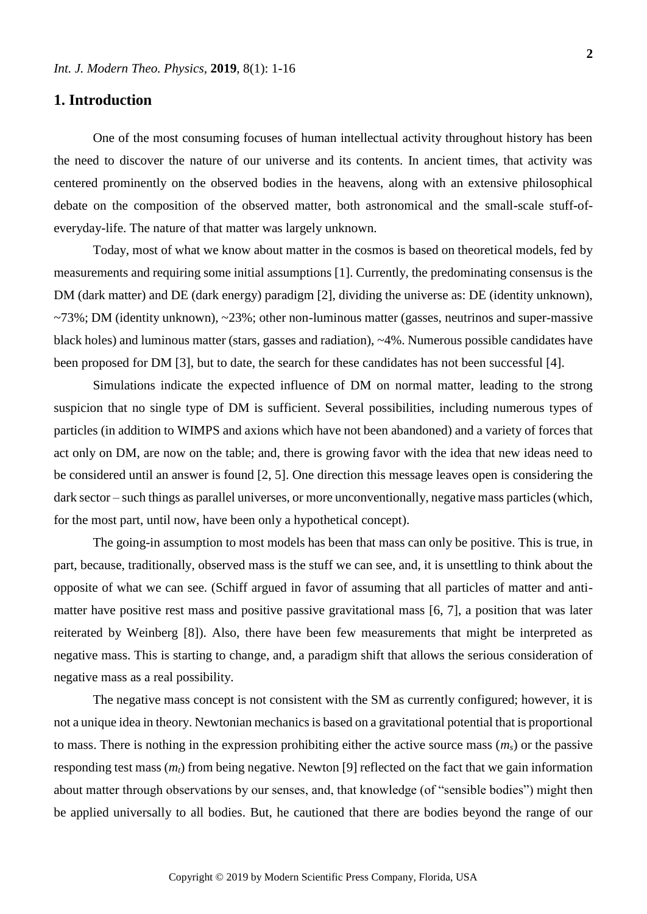## **1. Introduction**

One of the most consuming focuses of human intellectual activity throughout history has been the need to discover the nature of our universe and its contents. In ancient times, that activity was centered prominently on the observed bodies in the heavens, along with an extensive philosophical debate on the composition of the observed matter, both astronomical and the small-scale stuff-ofeveryday-life. The nature of that matter was largely unknown.

Today, most of what we know about matter in the cosmos is based on theoretical models, fed by measurements and requiring some initial assumptions [1]. Currently, the predominating consensus is the DM (dark matter) and DE (dark energy) paradigm [2], dividing the universe as: DE (identity unknown),  $\sim$ 73%; DM (identity unknown),  $\sim$ 23%; other non-luminous matter (gasses, neutrinos and super-massive black holes) and luminous matter (stars, gasses and radiation), ~4%. Numerous possible candidates have been proposed for DM [3], but to date, the search for these candidates has not been successful [4].

Simulations indicate the expected influence of DM on normal matter, leading to the strong suspicion that no single type of DM is sufficient. Several possibilities, including numerous types of particles (in addition to WIMPS and axions which have not been abandoned) and a variety of forces that act only on DM, are now on the table; and, there is growing favor with the idea that new ideas need to be considered until an answer is found [2, 5]. One direction this message leaves open is considering the dark sector – such things as parallel universes, or more unconventionally, negative mass particles (which, for the most part, until now, have been only a hypothetical concept).

The going-in assumption to most models has been that mass can only be positive. This is true, in part, because, traditionally, observed mass is the stuff we can see, and, it is unsettling to think about the opposite of what we can see. (Schiff argued in favor of assuming that all particles of matter and antimatter have positive rest mass and positive passive gravitational mass [6, 7], a position that was later reiterated by Weinberg [8]). Also, there have been few measurements that might be interpreted as negative mass. This is starting to change, and, a paradigm shift that allows the serious consideration of negative mass as a real possibility.

The negative mass concept is not consistent with the SM as currently configured; however, it is not a unique idea in theory. Newtonian mechanics is based on a gravitational potential that is proportional to mass. There is nothing in the expression prohibiting either the active source mass  $(m<sub>s</sub>)$  or the passive responding test mass (*mt*) from being negative. Newton [9] reflected on the fact that we gain information about matter through observations by our senses, and, that knowledge (of "sensible bodies") might then be applied universally to all bodies. But, he cautioned that there are bodies beyond the range of our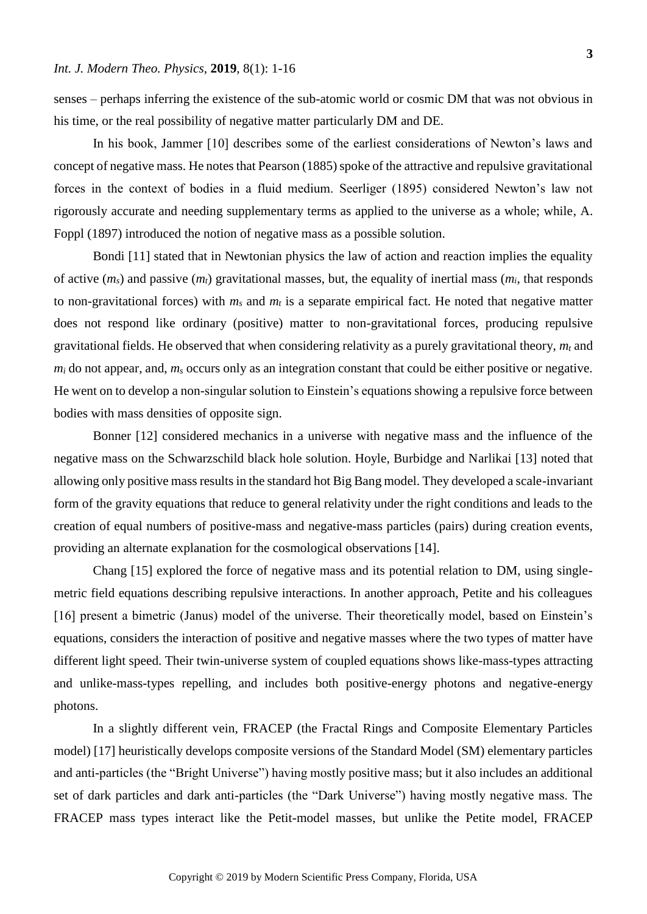senses – perhaps inferring the existence of the sub-atomic world or cosmic DM that was not obvious in his time, or the real possibility of negative matter particularly DM and DE.

In his book, Jammer [10] describes some of the earliest considerations of Newton's laws and concept of negative mass. He notes that Pearson (1885) spoke of the attractive and repulsive gravitational forces in the context of bodies in a fluid medium. Seerliger (1895) considered Newton's law not rigorously accurate and needing supplementary terms as applied to the universe as a whole; while, A. Foppl (1897) introduced the notion of negative mass as a possible solution.

Bondi [11] stated that in Newtonian physics the law of action and reaction implies the equality of active (*ms*) and passive (*mt*) gravitational masses, but, the equality of inertial mass (*mi*, that responds to non-gravitational forces) with  $m_s$  and  $m_t$  is a separate empirical fact. He noted that negative matter does not respond like ordinary (positive) matter to non-gravitational forces, producing repulsive gravitational fields. He observed that when considering relativity as a purely gravitational theory, *m<sup>t</sup>* and *m<sup>i</sup>* do not appear, and, *m<sup>s</sup>* occurs only as an integration constant that could be either positive or negative. He went on to develop a non-singular solution to Einstein's equations showing a repulsive force between bodies with mass densities of opposite sign.

Bonner [12] considered mechanics in a universe with negative mass and the influence of the negative mass on the Schwarzschild black hole solution. Hoyle, Burbidge and Narlikai [13] noted that allowing only positive mass results in the standard hot Big Bang model. They developed a scale-invariant form of the gravity equations that reduce to general relativity under the right conditions and leads to the creation of equal numbers of positive-mass and negative-mass particles (pairs) during creation events, providing an alternate explanation for the cosmological observations [14].

Chang [15] explored the force of negative mass and its potential relation to DM, using singlemetric field equations describing repulsive interactions. In another approach, Petite and his colleagues [16] present a bimetric (Janus) model of the universe. Their theoretically model, based on Einstein's equations, considers the interaction of positive and negative masses where the two types of matter have different light speed. Their twin-universe system of coupled equations shows like-mass-types attracting and unlike-mass-types repelling, and includes both positive-energy photons and negative-energy photons.

In a slightly different vein, FRACEP (the Fractal Rings and Composite Elementary Particles model) [17] heuristically develops composite versions of the Standard Model (SM) elementary particles and anti-particles (the "Bright Universe") having mostly positive mass; but it also includes an additional set of dark particles and dark anti-particles (the "Dark Universe") having mostly negative mass. The FRACEP mass types interact like the Petit-model masses, but unlike the Petite model, FRACEP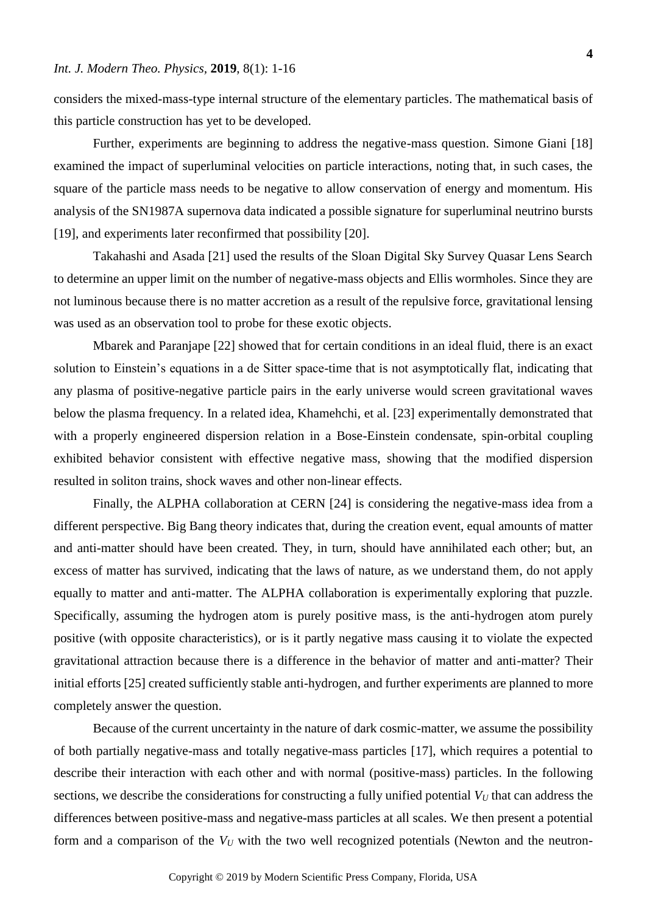considers the mixed-mass-type internal structure of the elementary particles. The mathematical basis of this particle construction has yet to be developed.

Further, experiments are beginning to address the negative-mass question. Simone Giani [18] examined the impact of superluminal velocities on particle interactions, noting that, in such cases, the square of the particle mass needs to be negative to allow conservation of energy and momentum. His analysis of the SN1987A supernova data indicated a possible signature for superluminal neutrino bursts [19], and experiments later reconfirmed that possibility [20].

Takahashi and Asada [21] used the results of the Sloan Digital Sky Survey Quasar Lens Search to determine an upper limit on the number of negative-mass objects and Ellis wormholes. Since they are not luminous because there is no matter accretion as a result of the repulsive force, gravitational lensing was used as an observation tool to probe for these exotic objects.

Mbarek and Paranjape [22] showed that for certain conditions in an ideal fluid, there is an exact solution to Einstein's equations in a de Sitter space-time that is not asymptotically flat, indicating that any plasma of positive-negative particle pairs in the early universe would screen gravitational waves below the plasma frequency. In a related idea, Khamehchi, et al. [23] experimentally demonstrated that with a properly engineered dispersion relation in a Bose-Einstein condensate, spin-orbital coupling exhibited behavior consistent with effective negative mass, showing that the modified dispersion resulted in soliton trains, shock waves and other non-linear effects.

Finally, the ALPHA collaboration at CERN [24] is considering the negative-mass idea from a different perspective. Big Bang theory indicates that, during the creation event, equal amounts of matter and anti-matter should have been created. They, in turn, should have annihilated each other; but, an excess of matter has survived, indicating that the laws of nature, as we understand them, do not apply equally to matter and anti-matter. The ALPHA collaboration is experimentally exploring that puzzle. Specifically, assuming the hydrogen atom is purely positive mass, is the anti-hydrogen atom purely positive (with opposite characteristics), or is it partly negative mass causing it to violate the expected gravitational attraction because there is a difference in the behavior of matter and anti-matter? Their initial efforts [25] created sufficiently stable anti-hydrogen, and further experiments are planned to more completely answer the question.

Because of the current uncertainty in the nature of dark cosmic-matter, we assume the possibility of both partially negative-mass and totally negative-mass particles [17], which requires a potential to describe their interaction with each other and with normal (positive-mass) particles. In the following sections, we describe the considerations for constructing a fully unified potential  $V_U$  that can address the differences between positive-mass and negative-mass particles at all scales. We then present a potential form and a comparison of the  $V_U$  with the two well recognized potentials (Newton and the neutron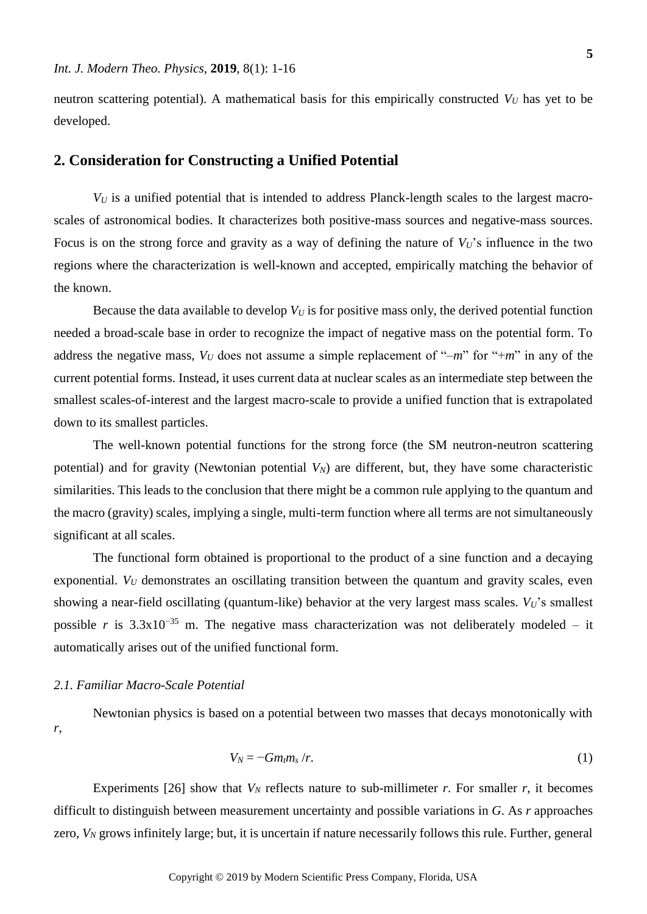neutron scattering potential). A mathematical basis for this empirically constructed  $V_U$  has yet to be developed.

## **2. Consideration for Constructing a Unified Potential**

 $V_U$  is a unified potential that is intended to address Planck-length scales to the largest macroscales of astronomical bodies. It characterizes both positive-mass sources and negative-mass sources. Focus is on the strong force and gravity as a way of defining the nature of  $V_U$ 's influence in the two regions where the characterization is well-known and accepted, empirically matching the behavior of the known.

Because the data available to develop  $V_U$  is for positive mass only, the derived potential function needed a broad-scale base in order to recognize the impact of negative mass on the potential form. To address the negative mass,  $V_U$  does not assume a simple replacement of "-*m*" for "+*m*" in any of the current potential forms. Instead, it uses current data at nuclear scales as an intermediate step between the smallest scales-of-interest and the largest macro-scale to provide a unified function that is extrapolated down to its smallest particles.

The well-known potential functions for the strong force (the SM neutron-neutron scattering potential) and for gravity (Newtonian potential *VN*) are different, but, they have some characteristic similarities. This leads to the conclusion that there might be a common rule applying to the quantum and the macro (gravity) scales, implying a single, multi-term function where all terms are not simultaneously significant at all scales.

The functional form obtained is proportional to the product of a sine function and a decaying exponential. *V<sub>U</sub>* demonstrates an oscillating transition between the quantum and gravity scales, even showing a near-field oscillating (quantum-like) behavior at the very largest mass scales. *VU*'s smallest possible *r* is  $3.3x10^{-35}$  m. The negative mass characterization was not deliberately modeled – it automatically arises out of the unified functional form.

### *2.1. Familiar Macro-Scale Potential*

Newtonian physics is based on a potential between two masses that decays monotonically with *r*,

$$
V_N = -Gm_t m_s / r. \tag{1}
$$

Experiments [26] show that  $V_N$  reflects nature to sub-millimeter  $r$ . For smaller  $r$ , it becomes difficult to distinguish between measurement uncertainty and possible variations in *G*. As *r* approaches zero,  $V_N$  grows infinitely large; but, it is uncertain if nature necessarily follows this rule. Further, general

**5**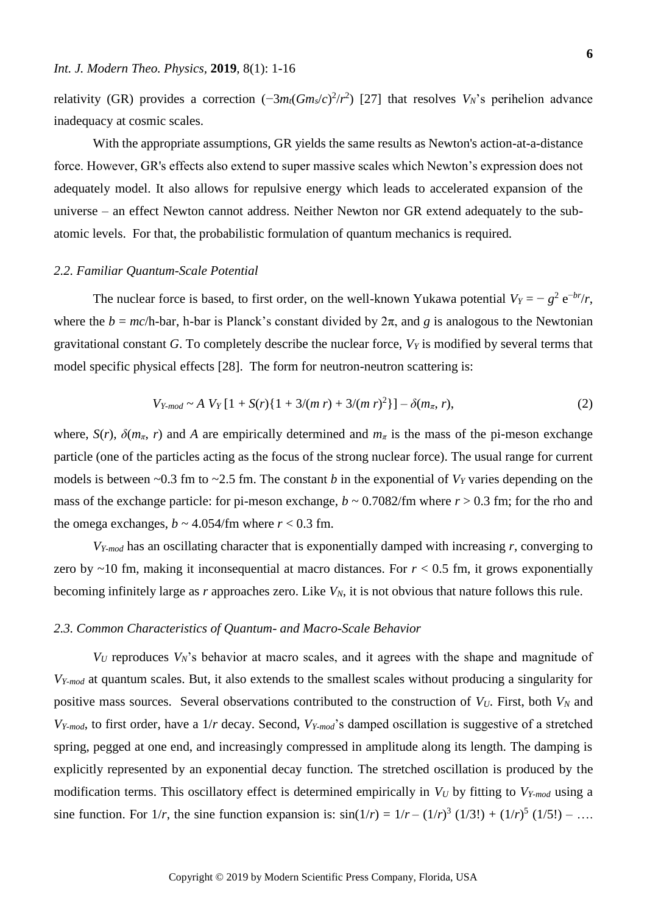relativity (GR) provides a correction  $(-3m_t(Gm_s/c)^2/r^2)$  [27] that resolves  $V_N$ 's perihelion advance inadequacy at cosmic scales.

With the appropriate assumptions, GR yields the same results as Newton's action-at-a-distance force. However, GR's effects also extend to super massive scales which Newton's expression does not adequately model. It also allows for repulsive energy which leads to accelerated expansion of the universe – an effect Newton cannot address. Neither Newton nor GR extend adequately to the subatomic levels. For that, the probabilistic formulation of quantum mechanics is required.

#### *2.2. Familiar Quantum-Scale Potential*

The nuclear force is based, to first order, on the well-known Yukawa potential  $V_Y = -g^2 e^{-b r}/r$ , where the  $b = mc/h$ -bar, h-bar is Planck's constant divided by  $2\pi$ , and g is analogous to the Newtonian gravitational constant *G*. To completely describe the nuclear force, *V<sup>Y</sup>* is modified by several terms that model specific physical effects [28]. The form for neutron-neutron scattering is:

$$
V_{Y-mod} \sim A \ V_Y [1 + S(r) \{1 + 3/(m r) + 3/(m r)^2\}] - \delta(m_\pi, r), \tag{2}
$$

where,  $S(r)$ ,  $\delta(m_{\pi}, r)$  and A are empirically determined and  $m_{\pi}$  is the mass of the pi-meson exchange particle (one of the particles acting as the focus of the strong nuclear force). The usual range for current models is between  $\sim$ 0.3 fm to  $\sim$ 2.5 fm. The constant *b* in the exponential of *V<sub>Y</sub>* varies depending on the mass of the exchange particle: for pi-meson exchange,  $b \sim 0.7082$ /fm where  $r > 0.3$  fm; for the rho and the omega exchanges,  $b \sim 4.054$ /fm where  $r < 0.3$  fm.

*VY-mod* has an oscillating character that is exponentially damped with increasing *r*, converging to zero by  $\sim$ 10 fm, making it inconsequential at macro distances. For  $r$  < 0.5 fm, it grows exponentially becoming infinitely large as *r* approaches zero. Like *VN*, it is not obvious that nature follows this rule.

#### *2.3. Common Characteristics of Quantum- and Macro-Scale Behavior*

 $V_U$  reproduces  $V_N$ 's behavior at macro scales, and it agrees with the shape and magnitude of *VY-mod* at quantum scales. But, it also extends to the smallest scales without producing a singularity for positive mass sources. Several observations contributed to the construction of  $V_U$ . First, both  $V_N$  and *VY-mod*, to first order, have a 1/*r* decay. Second, *VY-mod*'s damped oscillation is suggestive of a stretched spring, pegged at one end, and increasingly compressed in amplitude along its length. The damping is explicitly represented by an exponential decay function. The stretched oscillation is produced by the modification terms. This oscillatory effect is determined empirically in  $V_U$  by fitting to  $V_{Y\text{-mod}}$  using a sine function. For  $1/r$ , the sine function expansion is:  $sin(1/r) = 1/r - (1/r)^3 (1/3!) + (1/r)^5 (1/5!) - ...$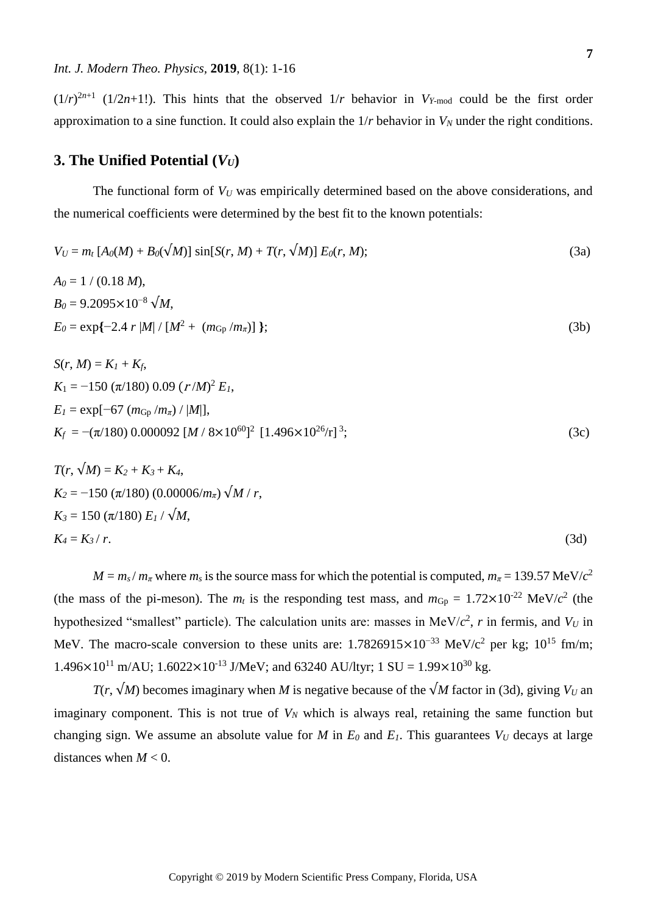$(1/r)^{2n+1}$  (1/2*n*+1!). This hints that the observed  $1/r$  behavior in  $V_{Y\text{-mod}}$  could be the first order approximation to a sine function. It could also explain the  $1/r$  behavior in  $V_N$  under the right conditions.

## **3. The Unified Potential**  $(V_U)$

The functional form of  $V_U$  was empirically determined based on the above considerations, and the numerical coefficients were determined by the best fit to the known potentials:

$$
V_U = m_t [A_0(M) + B_0(\sqrt{M})] \sin[S(r, M) + T(r, \sqrt{M})] E_0(r, M); \qquad (3a)
$$

$$
A_0 = 1 / (0.18 M),
$$
  
\n
$$
B_0 = 9.2095 \times 10^{-8} \sqrt{M},
$$
  
\n
$$
E_0 = \exp\{-2.4 r |M| / [M^2 + (m_{\text{Gp}}/m_{\pi})] \};
$$
\n(3b)

$$
S(r, M) = K_I + K_f,
$$
  
\n
$$
K_1 = -150 (\pi/180) 0.09 (r/M)^2 E_I,
$$
  
\n
$$
E_I = \exp[-67 (m_{Gp}/m_{\pi}) / |M|],
$$
  
\n
$$
K_f = -(\pi/180) 0.000092 [M / 8 \times 10^{60}]^2 [1.496 \times 10^{26} / r]^3;
$$
\n(3c)

$$
T(r, \sqrt{M}) = K_2 + K_3 + K_4,
$$
  
\n
$$
K_2 = -150 \ (\pi/180) \ (0.00006/m_\pi) \ \sqrt{M / r},
$$
  
\n
$$
K_3 = 150 \ (\pi/180) \ E_1 / \sqrt{M},
$$
  
\n
$$
K_4 = K_3 / r.
$$
  
\n(3d)

 $M = m_s / m_\pi$  where  $m_s$  is the source mass for which the potential is computed,  $m_\pi = 139.57$  MeV/ $c^2$ (the mass of the pi-meson). The  $m_t$  is the responding test mass, and  $m_{\text{Gp}} = 1.72 \times 10^{-22} \text{ MeV}/c^2$  (the hypothesized "smallest" particle). The calculation units are: masses in MeV/ $c^2$ , r in fermis, and  $V_U$  in MeV. The macro-scale conversion to these units are:  $1.7826915 \times 10^{-33}$  MeV/c<sup>2</sup> per kg;  $10^{15}$  fm/m;  $1.496\times10^{11}$  m/AU;  $1.6022\times10^{13}$  J/MeV; and 63240 AU/ltyr; 1 SU =  $1.99\times10^{30}$  kg.

*T*(*r*,  $\sqrt{M}$ ) becomes imaginary when *M* is negative because of the  $\sqrt{M}$  factor in (3d), giving *V<sub>U</sub>* an imaginary component. This is not true of *V<sup>N</sup>* which is always real, retaining the same function but changing sign. We assume an absolute value for *M* in  $E_0$  and  $E_1$ . This guarantees  $V_U$  decays at large distances when  $M < 0$ .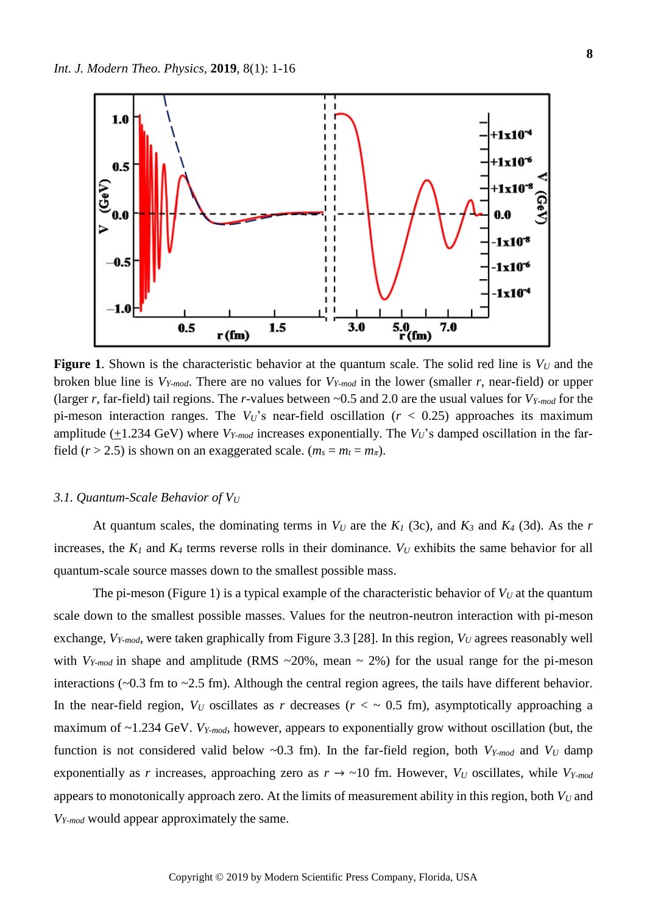

**Figure 1.** Shown is the characteristic behavior at the quantum scale. The solid red line is  $V_U$  and the broken blue line is *VY-mod*. There are no values for *VY-mod* in the lower (smaller *r*, near-field) or upper (larger *r*, far-field) tail regions. The *r*-values between ~0.5 and 2.0 are the usual values for *VY-mod* for the pi-meson interaction ranges. The  $V_U$ 's near-field oscillation ( $r < 0.25$ ) approaches its maximum amplitude  $(+1.234 \text{ GeV})$  where  $V_{Y-mod}$  increases exponentially. The  $V_U$ 's damped oscillation in the farfield ( $r > 2.5$ ) is shown on an exaggerated scale. ( $m_s = m_t = m_{\pi}$ ).

## *3.1. Quantum-Scale Behavior of V<sup>U</sup>*

At quantum scales, the dominating terms in  $V_U$  are the  $K_I$  (3c), and  $K_3$  and  $K_4$  (3d). As the *r* increases, the  $K_I$  and  $K_A$  terms reverse rolls in their dominance.  $V_U$  exhibits the same behavior for all quantum-scale source masses down to the smallest possible mass.

The pi-meson (Figure 1) is a typical example of the characteristic behavior of  $V_U$  at the quantum scale down to the smallest possible masses. Values for the neutron-neutron interaction with pi-meson exchange, *VY-mod*, were taken graphically from Figure 3.3 [28]. In this region, *V<sup>U</sup>* agrees reasonably well with  $V_{Y-mod}$  in shape and amplitude (RMS  $\sim$ 20%, mean  $\sim$  2%) for the usual range for the pi-meson interactions (~0.3 fm to ~2.5 fm). Although the central region agrees, the tails have different behavior. In the near-field region,  $V_U$  oscillates as *r* decreases ( $r < \sim 0.5$  fm), asymptotically approaching a maximum of ~1.234 GeV. *VY-mod*, however, appears to exponentially grow without oscillation (but, the function is not considered valid below ~0.3 fm). In the far-field region, both *VY-mod* and *V<sup>U</sup>* damp exponentially as *r* increases, approaching zero as  $r \rightarrow \sim 10$  fm. However,  $V_U$  oscillates, while  $V_{Y\text{-mod}}$ appears to monotonically approach zero. At the limits of measurement ability in this region, both *V<sup>U</sup>* and *VY-mod* would appear approximately the same.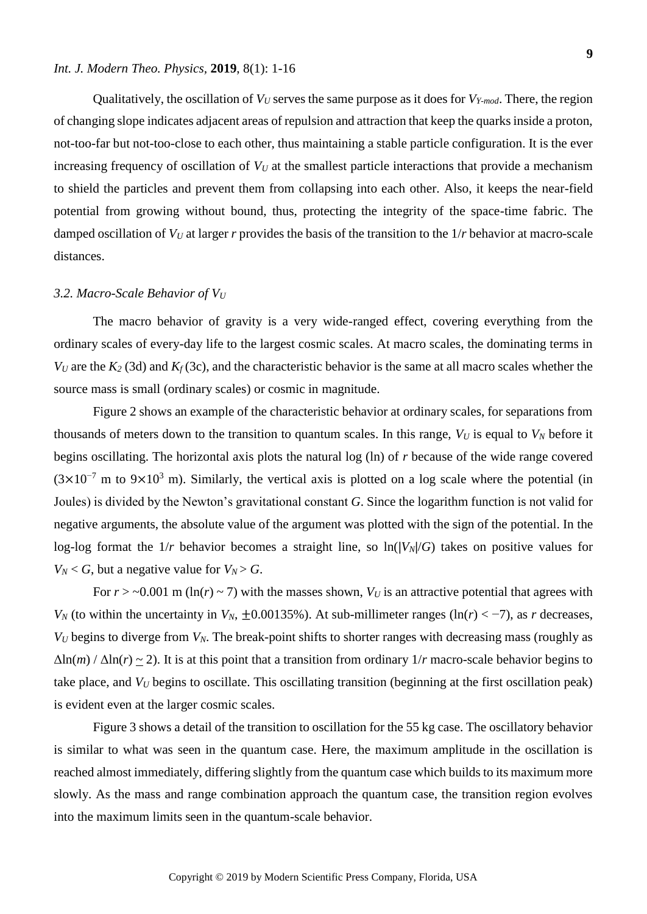#### *Int. J. Modern Theo. Physics,* **2019**, 8(1): 1-16

Qualitatively, the oscillation of  $V_U$  serves the same purpose as it does for  $V_{Y-mod}$ . There, the region of changing slope indicates adjacent areas of repulsion and attraction that keep the quarks inside a proton, not-too-far but not-too-close to each other, thus maintaining a stable particle configuration. It is the ever increasing frequency of oscillation of  $V_U$  at the smallest particle interactions that provide a mechanism to shield the particles and prevent them from collapsing into each other. Also, it keeps the near-field potential from growing without bound, thus, protecting the integrity of the space-time fabric. The damped oscillation of  $V_U$  at larger *r* provides the basis of the transition to the  $1/r$  behavior at macro-scale distances.

#### *3.2. Macro-Scale Behavior of V<sup>U</sup>*

The macro behavior of gravity is a very wide-ranged effect, covering everything from the ordinary scales of every-day life to the largest cosmic scales. At macro scales, the dominating terms in *V*<sub>*U*</sub> are the  $K_2$  (3d) and  $K_f$  (3c), and the characteristic behavior is the same at all macro scales whether the source mass is small (ordinary scales) or cosmic in magnitude.

Figure 2 shows an example of the characteristic behavior at ordinary scales, for separations from thousands of meters down to the transition to quantum scales. In this range,  $V_U$  is equal to  $V_N$  before it begins oscillating. The horizontal axis plots the natural log (ln) of *r* because of the wide range covered  $(3\times10^{-7}$  m to 9×10<sup>3</sup> m). Similarly, the vertical axis is plotted on a log scale where the potential (in Joules) is divided by the Newton's gravitational constant *G*. Since the logarithm function is not valid for negative arguments, the absolute value of the argument was plotted with the sign of the potential. In the log-log format the  $1/r$  behavior becomes a straight line, so  $\ln(|V_N|/G)$  takes on positive values for  $V_N < G$ , but a negative value for  $V_N > G$ .

For  $r > -0.001$  m (ln(*r*) ~ 7) with the masses shown,  $V_U$  is an attractive potential that agrees with *V<sub>N</sub>* (to within the uncertainty in *V<sub>N</sub>*,  $\pm 0.00135\%$ ). At sub-millimeter ranges (ln(*r*) < -7), as *r* decreases, *V<sup>U</sup>* begins to diverge from *VN*. The break-point shifts to shorter ranges with decreasing mass (roughly as  $\Delta \ln(m) / \Delta \ln(r) \sim 2$ ). It is at this point that a transition from ordinary  $1/r$  macro-scale behavior begins to take place, and *V<sup>U</sup>* begins to oscillate. This oscillating transition (beginning at the first oscillation peak) is evident even at the larger cosmic scales.

Figure 3 shows a detail of the transition to oscillation for the 55 kg case. The oscillatory behavior is similar to what was seen in the quantum case. Here, the maximum amplitude in the oscillation is reached almost immediately, differing slightly from the quantum case which builds to its maximum more slowly. As the mass and range combination approach the quantum case, the transition region evolves into the maximum limits seen in the quantum-scale behavior.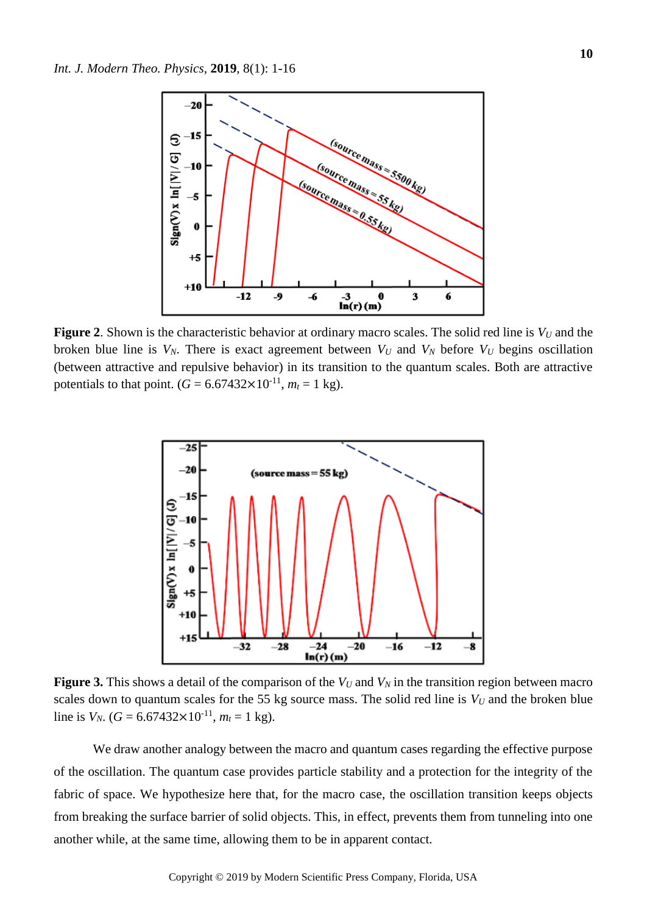

**Figure 2**. Shown is the characteristic behavior at ordinary macro scales. The solid red line is *V<sup>U</sup>* and the broken blue line is  $V_N$ . There is exact agreement between  $V_U$  and  $V_N$  before  $V_U$  begins oscillation (between attractive and repulsive behavior) in its transition to the quantum scales. Both are attractive potentials to that point.  $(G = 6.67432 \times 10^{-11}, m_t = 1 \text{ kg})$ .



**Figure 3.** This shows a detail of the comparison of the  $V_U$  and  $V_N$  in the transition region between macro scales down to quantum scales for the 55 kg source mass. The solid red line is  $V_U$  and the broken blue line is  $V_N$ . ( $G = 6.67432 \times 10^{-11}$ ,  $m_t = 1$  kg).

We draw another analogy between the macro and quantum cases regarding the effective purpose of the oscillation. The quantum case provides particle stability and a protection for the integrity of the fabric of space. We hypothesize here that, for the macro case, the oscillation transition keeps objects from breaking the surface barrier of solid objects. This, in effect, prevents them from tunneling into one another while, at the same time, allowing them to be in apparent contact.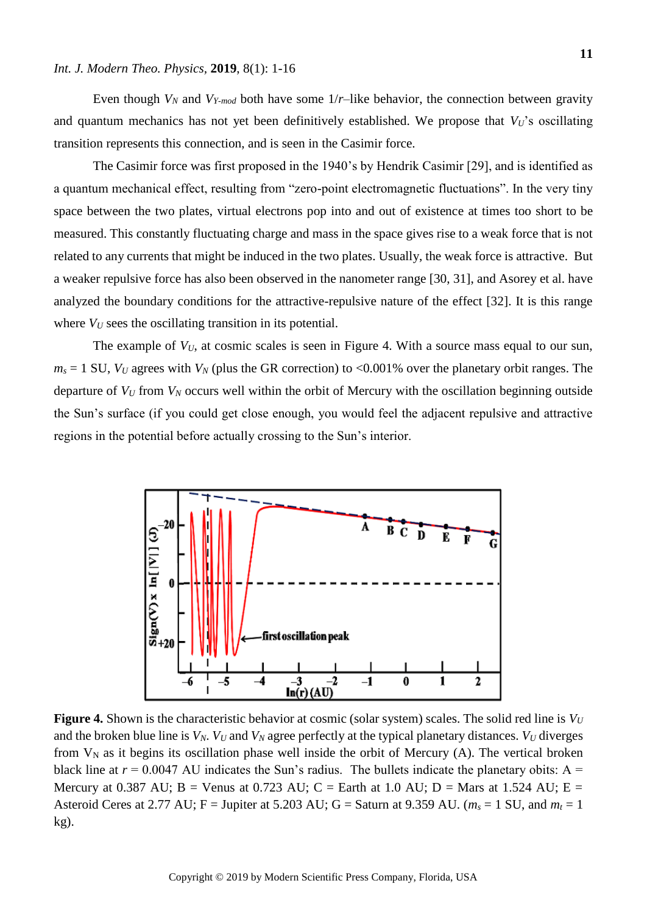#### *Int. J. Modern Theo. Physics,* **2019**, 8(1): 1-16

Even though  $V_N$  and  $V_{Y-mod}$  both have some  $1/r$ –like behavior, the connection between gravity and quantum mechanics has not yet been definitively established. We propose that  $V_U$ 's oscillating transition represents this connection, and is seen in the Casimir force.

The Casimir force was first proposed in the 1940's by Hendrik Casimir [29], and is identified as a quantum mechanical effect, resulting from "zero-point electromagnetic fluctuations". In the very tiny space between the two plates, virtual electrons pop into and out of existence at times too short to be measured. This constantly fluctuating charge and mass in the space gives rise to a weak force that is not related to any currents that might be induced in the two plates. Usually, the weak force is attractive. But a weaker repulsive force has also been observed in the nanometer range [30, 31], and Asorey et al. have analyzed the boundary conditions for the attractive-repulsive nature of the effect [32]. It is this range where  $V_U$  sees the oscillating transition in its potential.

The example of  $V_U$ , at cosmic scales is seen in Figure 4. With a source mass equal to our sun,  $m_s = 1$  SU,  $V_U$  agrees with  $V_N$  (plus the GR correction) to <0.001% over the planetary orbit ranges. The departure of *V<sup>U</sup>* from *V<sup>N</sup>* occurs well within the orbit of Mercury with the oscillation beginning outside the Sun's surface (if you could get close enough, you would feel the adjacent repulsive and attractive regions in the potential before actually crossing to the Sun's interior.



**Figure 4.** Shown is the characteristic behavior at cosmic (solar system) scales. The solid red line is  $V_U$ and the broken blue line is  $V_N$ .  $V_U$  and  $V_N$  agree perfectly at the typical planetary distances.  $V_U$  diverges from  $V_N$  as it begins its oscillation phase well inside the orbit of Mercury (A). The vertical broken black line at  $r = 0.0047$  AU indicates the Sun's radius. The bullets indicate the planetary obits: A = Mercury at 0.387 AU;  $B =$  Venus at 0.723 AU;  $C =$  Earth at 1.0 AU;  $D =$  Mars at 1.524 AU;  $E =$ Asteroid Ceres at 2.77 AU; F = Jupiter at 5.203 AU; G = Saturn at 9.359 AU. ( $m_s = 1$  SU, and  $m_t = 1$ ) kg).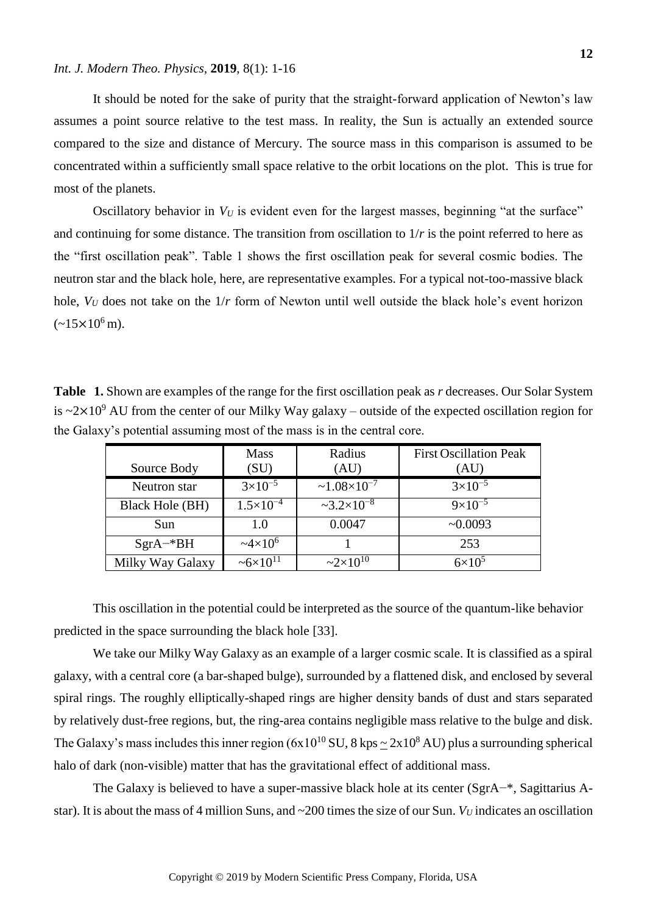It should be noted for the sake of purity that the straight-forward application of Newton's law assumes a point source relative to the test mass. In reality, the Sun is actually an extended source compared to the size and distance of Mercury. The source mass in this comparison is assumed to be concentrated within a sufficiently small space relative to the orbit locations on the plot. This is true for most of the planets.

Oscillatory behavior in  $V_U$  is evident even for the largest masses, beginning "at the surface" and continuing for some distance. The transition from oscillation to  $1/r$  is the point referred to here as the "first oscillation peak". Table 1 shows the first oscillation peak for several cosmic bodies. The neutron star and the black hole, here, are representative examples. For a typical not-too-massive black hole,  $V_U$  does not take on the  $1/r$  form of Newton until well outside the black hole's event horizon  $(-15\times10^{6} \text{ m})$ .

**Table 1.** Shown are examples of the range for the first oscillation peak as *r* decreases. Our Solar System is  $\approx 2 \times 10^9$  AU from the center of our Milky Way galaxy – outside of the expected oscillation region for the Galaxy's potential assuming most of the mass is in the central core.

|                        | <b>Mass</b>             | Radius               | <b>First Oscillation Peak</b> |
|------------------------|-------------------------|----------------------|-------------------------------|
| Source Body            | (SU)                    | (AU)                 | (AU)                          |
| Neutron star           | $3\times10^{-5}$        | $~1.08\times10^{-7}$ | $3\times10^{-5}$              |
| <b>Black Hole (BH)</b> | $1.5 \times 10^{-4}$    | $-3.2\times10^{-8}$  | $9\times10^{-5}$              |
| Sun                    | 1.0                     | 0.0047               | ~10.0093                      |
| $SgrA-*BH$             | $\approx 4 \times 10^6$ |                      | 253                           |
| Milky Way Galaxy       | $~26\times10^{11}$      | $2 \times 10^{10}$   | $6\times10^5$                 |

This oscillation in the potential could be interpreted as the source of the quantum-like behavior predicted in the space surrounding the black hole [33].

We take our Milky Way Galaxy as an example of a larger cosmic scale. It is classified as a spiral galaxy, with a central core (a bar-shaped bulge), surrounded by a flattened disk, and enclosed by several spiral rings. The roughly elliptically-shaped rings are higher density bands of dust and stars separated by relatively dust-free regions, but, the ring-area contains negligible mass relative to the bulge and disk. The Galaxy's mass includes this inner region  $(6x10^{10} \text{ SU}, 8 \text{ kps} \sim 2x10^8 \text{ AU})$  plus a surrounding spherical halo of dark (non-visible) matter that has the gravitational effect of additional mass.

The Galaxy is believed to have a super-massive black hole at its center (SgrA−\*, Sagittarius Astar). It is about the mass of 4 million Suns, and  $\sim$ 200 times the size of our Sun.  $V_U$  indicates an oscillation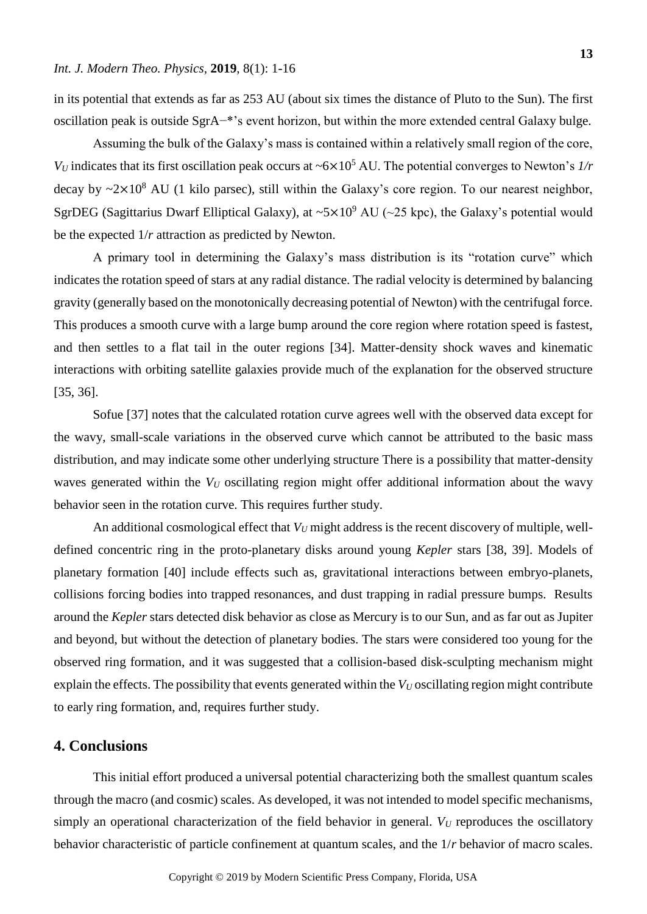in its potential that extends as far as 253 AU (about six times the distance of Pluto to the Sun). The first oscillation peak is outside SgrA−\*'s event horizon, but within the more extended central Galaxy bulge.

Assuming the bulk of the Galaxy's mass is contained within a relatively small region of the core, *V<sub>U</sub>* indicates that its first oscillation peak occurs at ~6×10<sup>5</sup> AU. The potential converges to Newton's *1/r* decay by  $\sim 2 \times 10^8$  AU (1 kilo parsec), still within the Galaxy's core region. To our nearest neighbor, SgrDEG (Sagittarius Dwarf Elliptical Galaxy), at  $\sim 5 \times 10^9$  AU ( $\sim 25$  kpc), the Galaxy's potential would be the expected 1/*r* attraction as predicted by Newton.

A primary tool in determining the Galaxy's mass distribution is its "rotation curve" which indicates the rotation speed of stars at any radial distance. The radial velocity is determined by balancing gravity (generally based on the monotonically decreasing potential of Newton) with the centrifugal force. This produces a smooth curve with a large bump around the core region where rotation speed is fastest, and then settles to a flat tail in the outer regions [34]. Matter-density shock waves and kinematic interactions with orbiting satellite galaxies provide much of the explanation for the observed structure [35, 36].

Sofue [37] notes that the calculated rotation curve agrees well with the observed data except for the wavy, small-scale variations in the observed curve which cannot be attributed to the basic mass distribution, and may indicate some other underlying structure There is a possibility that matter-density waves generated within the  $V_U$  oscillating region might offer additional information about the wavy behavior seen in the rotation curve. This requires further study.

An additional cosmological effect that  $V_U$  might address is the recent discovery of multiple, welldefined concentric ring in the proto-planetary disks around young *Kepler* stars [38, 39]. Models of planetary formation [40] include effects such as, gravitational interactions between embryo-planets, collisions forcing bodies into trapped resonances, and dust trapping in radial pressure bumps. Results around the *Kepler* stars detected disk behavior as close as Mercury is to our Sun, and as far out as Jupiter and beyond, but without the detection of planetary bodies. The stars were considered too young for the observed ring formation, and it was suggested that a collision-based disk-sculpting mechanism might explain the effects. The possibility that events generated within the *V<sub>U</sub>* oscillating region might contribute to early ring formation, and, requires further study.

## **4. Conclusions**

This initial effort produced a universal potential characterizing both the smallest quantum scales through the macro (and cosmic) scales. As developed, it was not intended to model specific mechanisms, simply an operational characterization of the field behavior in general.  $V_U$  reproduces the oscillatory behavior characteristic of particle confinement at quantum scales, and the 1/*r* behavior of macro scales.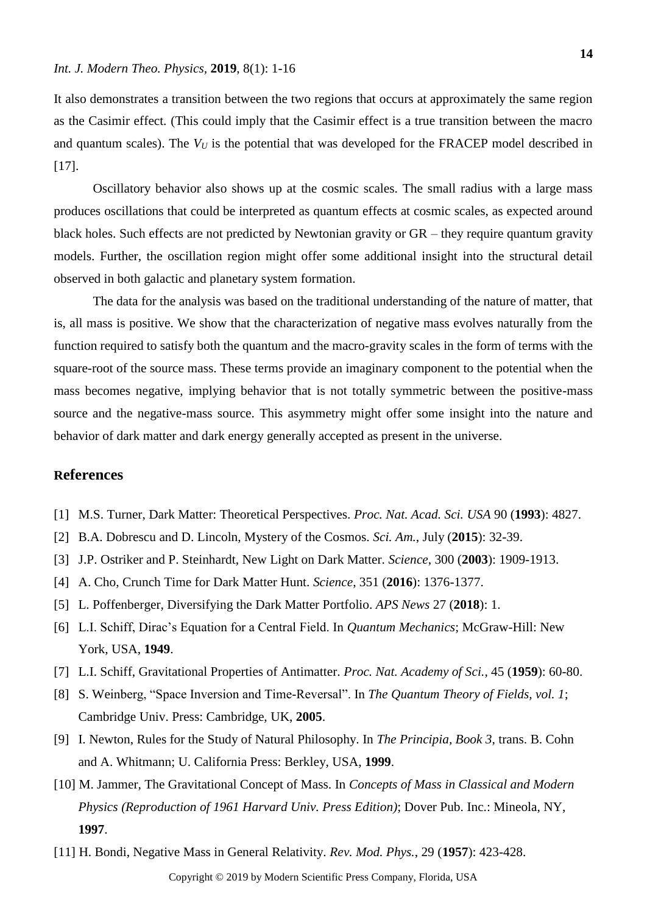It also demonstrates a transition between the two regions that occurs at approximately the same region as the Casimir effect. (This could imply that the Casimir effect is a true transition between the macro and quantum scales). The *V<sup>U</sup>* is the potential that was developed for the FRACEP model described in [17].

Oscillatory behavior also shows up at the cosmic scales. The small radius with a large mass produces oscillations that could be interpreted as quantum effects at cosmic scales, as expected around black holes. Such effects are not predicted by Newtonian gravity or GR – they require quantum gravity models. Further, the oscillation region might offer some additional insight into the structural detail observed in both galactic and planetary system formation.

The data for the analysis was based on the traditional understanding of the nature of matter, that is, all mass is positive. We show that the characterization of negative mass evolves naturally from the function required to satisfy both the quantum and the macro-gravity scales in the form of terms with the square-root of the source mass. These terms provide an imaginary component to the potential when the mass becomes negative, implying behavior that is not totally symmetric between the positive-mass source and the negative-mass source. This asymmetry might offer some insight into the nature and behavior of dark matter and dark energy generally accepted as present in the universe.

## **References**

- [1] M.S. Turner, Dark Matter: Theoretical Perspectives. *Proc. Nat. Acad. Sci. USA* 90 (**1993**): 4827.
- [2] B.A. Dobrescu and D. Lincoln, Mystery of the Cosmos. *Sci. Am.*, July (**2015**): 32-39.
- [3] J.P. Ostriker and P. Steinhardt, New Light on Dark Matter. *Science*, 300 (**2003**): 1909-1913.
- [4] A. Cho, Crunch Time for Dark Matter Hunt. *Science*, 351 (**2016**): 1376-1377.
- [5] L. Poffenberger, Diversifying the Dark Matter Portfolio. *APS News* 27 (**2018**): 1.
- [6] L.I. Schiff, Dirac's Equation for a Central Field. In *Quantum Mechanics*; McGraw-Hill: New York, USA, **1949**.
- [7] L.I. Schiff, Gravitational Properties of Antimatter. *Proc. Nat. Academy of Sci.*, 45 (**1959**): 60-80.
- [8] S. Weinberg, "Space Inversion and Time-Reversal". In *The Quantum Theory of Fields, vol. 1*; Cambridge Univ. Press: Cambridge, UK, **2005**.
- [9] I. Newton, Rules for the Study of Natural Philosophy. In *The Principia, Book 3*, trans. B. Cohn and A. Whitmann; U. California Press: Berkley, USA, **1999**.
- [10] M. Jammer, The Gravitational Concept of Mass. In *Concepts of Mass in Classical and Modern Physics (Reproduction of 1961 Harvard Univ. Press Edition)*; Dover Pub. Inc.: Mineola, NY, **1997**.
- [11] H. Bondi, Negative Mass in General Relativity. *Rev. Mod. Phys.*, 29 (**1957**): 423-428.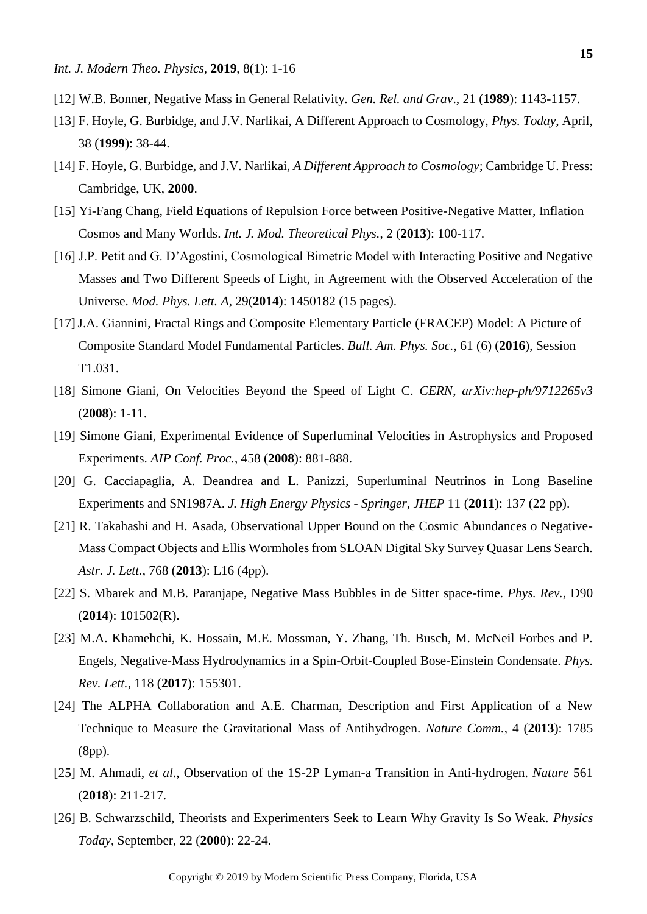- [12] W.B. Bonner, Negative Mass in General Relativity. *Gen. Rel. and Grav*., 21 (**1989**): 1143-1157.
- [13] F. Hoyle, G. Burbidge, and J.V. Narlikai, A Different Approach to Cosmology, *Phys. Today*, April, 38 (**1999**): 38-44.
- [14] F. Hoyle, G. Burbidge, and J.V. Narlikai, *A Different Approach to Cosmology*; Cambridge U. Press: Cambridge, UK, **2000**.
- [15] Yi-Fang Chang, Field Equations of Repulsion Force between Positive-Negative Matter, Inflation Cosmos and Many Worlds. *Int. J. Mod. Theoretical Phys.*, 2 (**2013**): 100-117.
- [16] J.P. Petit and G. D'Agostini, Cosmological Bimetric Model with Interacting Positive and Negative Masses and Two Different Speeds of Light, in Agreement with the Observed Acceleration of the Universe. *Mod. Phys. Lett. A*, 29(**2014**): 1450182 (15 pages).
- [17]J.A. Giannini, Fractal Rings and Composite Elementary Particle (FRACEP) Model: A Picture of Composite Standard Model Fundamental Particles. *Bull. Am. Phys. Soc.*, 61 (6) (**2016**), Session T1.031.
- [18] Simone Giani, On Velocities Beyond the Speed of Light C. *CERN*, *arXiv:hep-ph/9712265v3* (**2008**): 1-11.
- [19] Simone Giani, Experimental Evidence of Superluminal Velocities in Astrophysics and Proposed Experiments. *AIP Conf. Proc.*, 458 (**2008**): 881-888.
- [20] G. Cacciapaglia, A. Deandrea and L. Panizzi, Superluminal Neutrinos in Long Baseline Experiments and SN1987A. *J. High Energy Physics - Springer, JHEP* 11 (**2011**): 137 (22 pp).
- [21] R. Takahashi and H. Asada, Observational Upper Bound on the Cosmic Abundances o Negative-Mass Compact Objects and Ellis Wormholes from SLOAN Digital Sky Survey Quasar Lens Search. *Astr. J. Lett.*, 768 (**2013**): L16 (4pp).
- [22] S. Mbarek and M.B. Paranjape, Negative Mass Bubbles in de Sitter space-time. *Phys. Rev.*, D90 (**2014**): 101502(R).
- [23] M.A. Khamehchi, K. Hossain, M.E. Mossman, Y. Zhang, Th. Busch, M. McNeil Forbes and P. Engels, Negative-Mass Hydrodynamics in a Spin-Orbit-Coupled Bose-Einstein Condensate. *Phys. Rev. Lett.*, 118 (**2017**): 155301.
- [24] The ALPHA Collaboration and A.E. Charman, Description and First Application of a New Technique to Measure the Gravitational Mass of Antihydrogen. *Nature Comm.*, 4 (**2013**): 1785 (8pp).
- [25] M. Ahmadi, *et al*., Observation of the 1S-2P Lyman-a Transition in Anti-hydrogen. *Nature* 561 (**2018**): 211-217.
- [26] B. Schwarzschild, Theorists and Experimenters Seek to Learn Why Gravity Is So Weak. *Physics Today*, September, 22 (**2000**): 22-24.